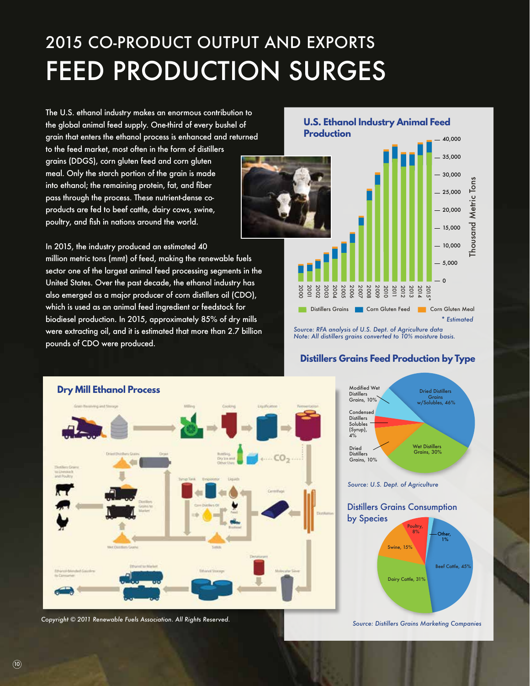## 2015 CO-PRODUCT OUTPUT AND EXPORTS FEED PRODUCTION SURGES

The U.S. ethanol industry makes an enormous contribution to the global animal feed supply. One-third of every bushel of grain that enters the ethanol process is enhanced and returned

to the feed market, most often in the form of distillers grains (DDGS), corn gluten feed and corn gluten meal. Only the starch portion of the grain is made into ethanol; the remaining protein, fat, and fiber pass through the process. These nutrient-dense coproducts are fed to beef cattle, dairy cows, swine, poultry, and fish in nations around the world.

In 2015, the industry produced an estimated 40 million metric tons (mmt) of feed, making the renewable fuels sector one of the largest animal feed processing segments in the United States. Over the past decade, the ethanol industry has also emerged as a major producer of corn distillers oil (CDO), which is used as an animal feed ingredient or feedstock for biodiesel production. In 2015, approximately 85% of dry mills were extracting oil, and it is estimated that more than 2.7 billion

pounds of CDO were produced.

## **U.S. Ethanol Industry Animal Feed Production** 40,000  $35,000$  $-30,000$ Thousand Metric Tons  $-25,000$ Metric  $-20,000$ Thousand  $-15,000$  $-10,000$  $-5,000$  $\overline{\phantom{0}}$ 2012 2003 2004 2005 2006 2007 2008 2009 2010 2011 2013 2014 2015\* 2000 2001 2002 **Corn Gluten Corn Gluten Feed Corn Gluten Meal** *\* Estimated*

*Source: RFA analysis of U.S. Dept. of Agriculture data Note: All distillers grains converted to 10% moisture basis.*

Modified Wet

## **Distillers Grains Feed Production by Type**





Dried Distillers

*Source: U.S. Dept. of Agriculture*

Beef Cattle, 45% Dairy Cattle, 31% Swine, 15% Poultry,  $8\%$   $\leftarrow$  Other, 1% Distillers Grains Consumption by Species

*Source: Distillers Grains Marketing Companies*

 $(10)$